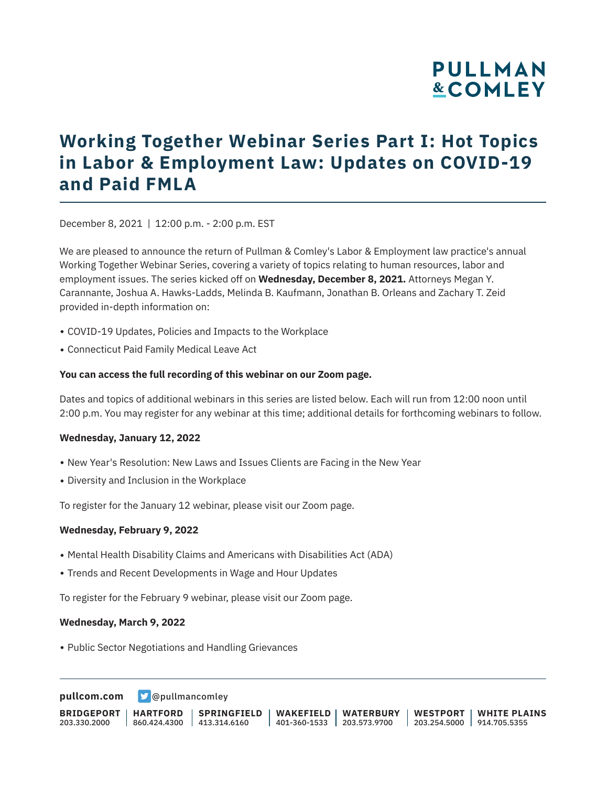# **PULLMAN &COMLEY**

# **Working Together Webinar Series Part I: Hot Topics in Labor & Employment Law: Updates on COVID-19 and Paid FMLA**

December 8, 2021 | 12:00 p.m. - 2:00 p.m. EST

We are pleased to announce the return of Pullman & Comley's Labor & Employment law practice's annual Working Together Webinar Series, covering a variety of topics relating to human resources, labor and employment issues. The series kicked off on **Wednesday, December 8, 2021.** Attorneys Megan Y. Carannante, Joshua A. Hawks-Ladds, Melinda B. Kaufmann, Jonathan B. Orleans and Zachary T. Zeid provided in-depth information on:

- COVID-19 Updates, Policies and Impacts to the Workplace
- Connecticut Paid Family Medical Leave Act

#### **You can access the full recording of this webinar on our Zoom page.**

Dates and topics of additional webinars in this series are listed below. Each will run from 12:00 noon until 2:00 p.m. You may register for any webinar at this time; additional details for forthcoming webinars to follow.

#### **Wednesday, January 12, 2022**

- New Year's Resolution: New Laws and Issues Clients are Facing in the New Year
- Diversity and Inclusion in the Workplace

To register for the January 12 webinar, please visit our Zoom page.

### **Wednesday, February 9, 2022**

- Mental Health Disability Claims and Americans with Disabilities Act (ADA)
- Trends and Recent Developments in Wage and Hour Updates

To register for the February 9 webinar, please visit our Zoom page.

#### **Wednesday, March 9, 2022**

• Public Sector Negotiations and Handling Grievances

**[pullcom.com](https://www.pullcom.com) g** [@pullmancomley](https://twitter.com/PullmanComley)